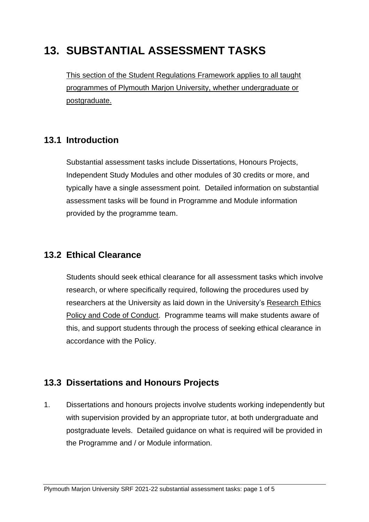# **13. SUBSTANTIAL ASSESSMENT TASKS**

This section of the Student Regulations Framework applies to all taught programmes of Plymouth Marjon University, whether undergraduate or postgraduate.

## **13.1 Introduction**

Substantial assessment tasks include Dissertations, Honours Projects, Independent Study Modules and other modules of 30 credits or more, and typically have a single assessment point. Detailed information on substantial assessment tasks will be found in Programme and Module information provided by the programme team.

#### **13.2 Ethical Clearance**

Students should seek ethical clearance for all assessment tasks which involve research, or where specifically required, following the procedures used by researchers at the University as laid down in the University's [Research Ethics](https://www.marjon.ac.uk/about-marjon/institutional-documents/academic-strategies-and-policies/research-ethics-policy-and-code-of-conduct.pdf)  Policy [and Code of Conduct.](https://www.marjon.ac.uk/about-marjon/institutional-documents/academic-strategies-and-policies/research-ethics-policy-and-code-of-conduct.pdf) Programme teams will make students aware of this, and support students through the process of seeking ethical clearance in accordance with the Policy.

## **13.3 Dissertations and Honours Projects**

1. Dissertations and honours projects involve students working independently but with supervision provided by an appropriate tutor, at both undergraduate and postgraduate levels. Detailed guidance on what is required will be provided in the Programme and / or Module information.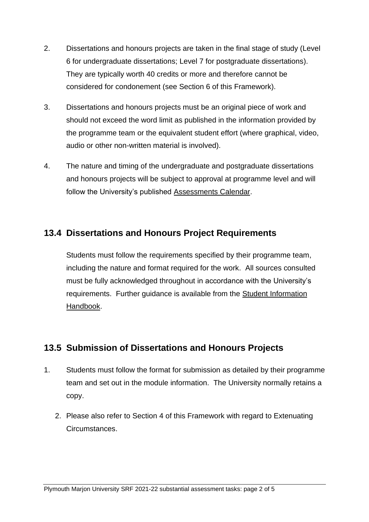- 2. Dissertations and honours projects are taken in the final stage of study (Level 6 for undergraduate dissertations; Level 7 for postgraduate dissertations). They are typically worth 40 credits or more and therefore cannot be considered for condonement (see Section 6 of this Framework).
- 3. Dissertations and honours projects must be an original piece of work and should not exceed the word limit as published in the information provided by the programme team or the equivalent student effort (where graphical, video, audio or other non-written material is involved).
- 4. The nature and timing of the undergraduate and postgraduate dissertations and honours projects will be subject to approval at programme level and will follow the University's published [Assessments Calendar.](https://www.marjon.ac.uk/about-marjon/institutional-documents/timetables-and-schedules/Assessments-Calendar-2020-21.pdf)

#### **13.4 Dissertations and Honours Project Requirements**

Students must follow the requirements specified by their programme team, including the nature and format required for the work. All sources consulted must be fully acknowledged throughout in accordance with the University's requirements. Further guidance is available from the [Student Information](https://sites.marjon.ac.uk/handbook/)  [Handbook.](https://sites.marjon.ac.uk/handbook/)

#### **13.5 Submission of Dissertations and Honours Projects**

- 1. Students must follow the format for submission as detailed by their programme team and set out in the module information. The University normally retains a copy.
	- 2. Please also refer to Section 4 of this Framework with regard to Extenuating Circumstances.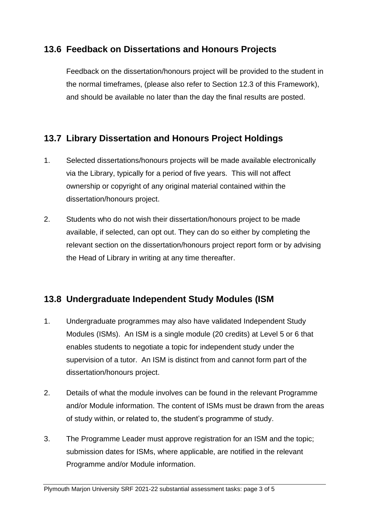#### **13.6 Feedback on Dissertations and Honours Projects**

Feedback on the dissertation/honours project will be provided to the student in the normal timeframes, (please also refer to Section 12.3 of this Framework), and should be available no later than the day the final results are posted.

## **13.7 Library Dissertation and Honours Project Holdings**

- 1. Selected dissertations/honours projects will be made available electronically via the Library, typically for a period of five years. This will not affect ownership or copyright of any original material contained within the dissertation/honours project.
- 2. Students who do not wish their dissertation/honours project to be made available, if selected, can opt out. They can do so either by completing the relevant section on the dissertation/honours project report form or by advising the Head of Library in writing at any time thereafter.

## **13.8 Undergraduate Independent Study Modules (ISM**

- 1. Undergraduate programmes may also have validated Independent Study Modules (ISMs). An ISM is a single module (20 credits) at Level 5 or 6 that enables students to negotiate a topic for independent study under the supervision of a tutor. An ISM is distinct from and cannot form part of the dissertation/honours project.
- 2. Details of what the module involves can be found in the relevant Programme and/or Module information. The content of ISMs must be drawn from the areas of study within, or related to, the student's programme of study.
- 3. The Programme Leader must approve registration for an ISM and the topic; submission dates for ISMs, where applicable, are notified in the relevant Programme and/or Module information.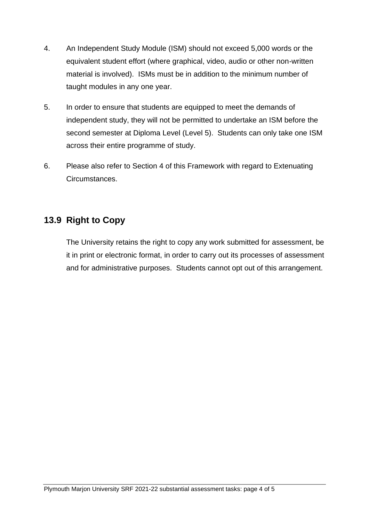- 4. An Independent Study Module (ISM) should not exceed 5,000 words or the equivalent student effort (where graphical, video, audio or other non-written material is involved). ISMs must be in addition to the minimum number of taught modules in any one year.
- 5. In order to ensure that students are equipped to meet the demands of independent study, they will not be permitted to undertake an ISM before the second semester at Diploma Level (Level 5). Students can only take one ISM across their entire programme of study.
- 6. Please also refer to Section 4 of this Framework with regard to Extenuating Circumstances.

## **13.9 Right to Copy**

The University retains the right to copy any work submitted for assessment, be it in print or electronic format, in order to carry out its processes of assessment and for administrative purposes. Students cannot opt out of this arrangement.